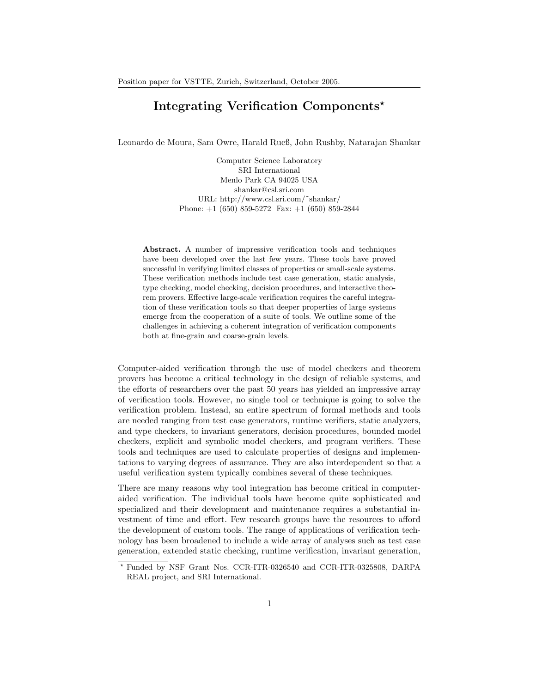# Integrating Verification Components<sup>\*</sup>

Leonardo de Moura, Sam Owre, Harald Rueß, John Rushby, Natarajan Shankar

Computer Science Laboratory SRI International Menlo Park CA 94025 USA shankar@csl.sri.com URL: http://www.csl.sri.com/˜shankar/ Phone: +1 (650) 859-5272 Fax: +1 (650) 859-2844

Abstract. A number of impressive verification tools and techniques have been developed over the last few years. These tools have proved successful in verifying limited classes of properties or small-scale systems. These verification methods include test case generation, static analysis, type checking, model checking, decision procedures, and interactive theorem provers. Effective large-scale verification requires the careful integration of these verification tools so that deeper properties of large systems emerge from the cooperation of a suite of tools. We outline some of the challenges in achieving a coherent integration of verification components both at fine-grain and coarse-grain levels.

Computer-aided verification through the use of model checkers and theorem provers has become a critical technology in the design of reliable systems, and the efforts of researchers over the past 50 years has yielded an impressive array of verification tools. However, no single tool or technique is going to solve the verification problem. Instead, an entire spectrum of formal methods and tools are needed ranging from test case generators, runtime verifiers, static analyzers, and type checkers, to invariant generators, decision procedures, bounded model checkers, explicit and symbolic model checkers, and program verifiers. These tools and techniques are used to calculate properties of designs and implementations to varying degrees of assurance. They are also interdependent so that a useful verification system typically combines several of these techniques.

There are many reasons why tool integration has become critical in computeraided verification. The individual tools have become quite sophisticated and specialized and their development and maintenance requires a substantial investment of time and effort. Few research groups have the resources to afford the development of custom tools. The range of applications of verification technology has been broadened to include a wide array of analyses such as test case generation, extended static checking, runtime verification, invariant generation,

<sup>⋆</sup> Funded by NSF Grant Nos. CCR-ITR-0326540 and CCR-ITR-0325808, DARPA REAL project, and SRI International.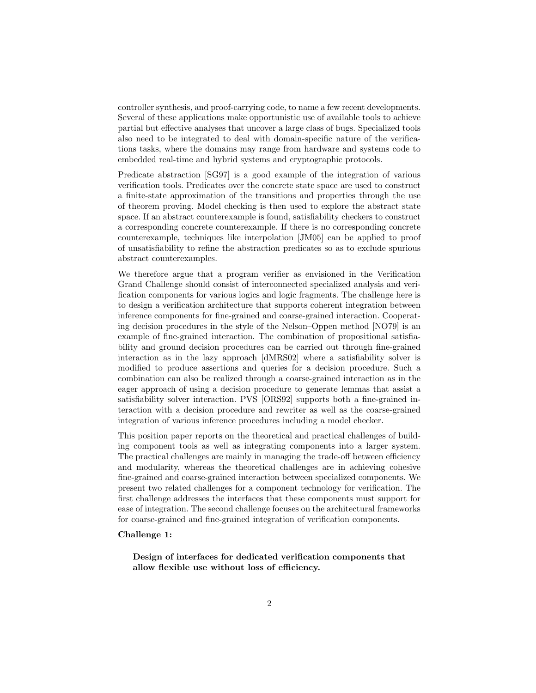controller synthesis, and proof-carrying code, to name a few recent developments. Several of these applications make opportunistic use of available tools to achieve partial but effective analyses that uncover a large class of bugs. Specialized tools also need to be integrated to deal with domain-specific nature of the verifications tasks, where the domains may range from hardware and systems code to embedded real-time and hybrid systems and cryptographic protocols.

Predicate abstraction [SG97] is a good example of the integration of various verification tools. Predicates over the concrete state space are used to construct a finite-state approximation of the transitions and properties through the use of theorem proving. Model checking is then used to explore the abstract state space. If an abstract counterexample is found, satisfiability checkers to construct a corresponding concrete counterexample. If there is no corresponding concrete counterexample, techniques like interpolation [JM05] can be applied to proof of unsatisfiability to refine the abstraction predicates so as to exclude spurious abstract counterexamples.

We therefore argue that a program verifier as envisioned in the Verification Grand Challenge should consist of interconnected specialized analysis and verification components for various logics and logic fragments. The challenge here is to design a verification architecture that supports coherent integration between inference components for fine-grained and coarse-grained interaction. Cooperating decision procedures in the style of the Nelson–Oppen method [NO79] is an example of fine-grained interaction. The combination of propositional satisfiability and ground decision procedures can be carried out through fine-grained interaction as in the lazy approach [dMRS02] where a satisfiability solver is modified to produce assertions and queries for a decision procedure. Such a combination can also be realized through a coarse-grained interaction as in the eager approach of using a decision procedure to generate lemmas that assist a satisfiability solver interaction. PVS [ORS92] supports both a fine-grained interaction with a decision procedure and rewriter as well as the coarse-grained integration of various inference procedures including a model checker.

This position paper reports on the theoretical and practical challenges of building component tools as well as integrating components into a larger system. The practical challenges are mainly in managing the trade-off between efficiency and modularity, whereas the theoretical challenges are in achieving cohesive fine-grained and coarse-grained interaction between specialized components. We present two related challenges for a component technology for verification. The first challenge addresses the interfaces that these components must support for ease of integration. The second challenge focuses on the architectural frameworks for coarse-grained and fine-grained integration of verification components.

### Challenge 1:

Design of interfaces for dedicated verification components that allow flexible use without loss of efficiency.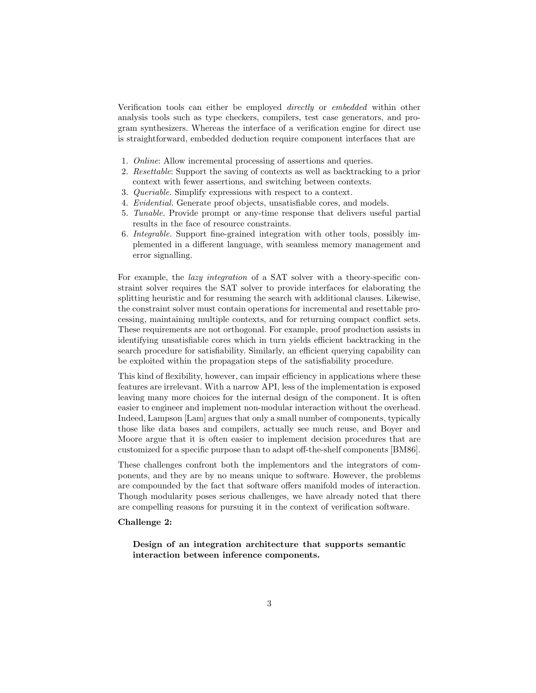Verification tools can either be employed directly or embedded within other analysis tools such as type checkers, compilers, test case generators, and program synthesizers. Whereas the interface of a verification engine for direct use is straightforward, embedded deduction require component interfaces that are

- 1. Online: Allow incremental processing of assertions and queries.
- 2. Resettable: Support the saving of contexts as well as backtracking to a prior context with fewer assertions, and switching between contexts.
- 3. Queriable. Simplify expressions with respect to a context.
- 4. Evidential. Generate proof objects, unsatisfiable cores, and models.
- 5. Tunable. Provide prompt or any-time response that delivers useful partial results in the face of resource constraints.
- 6. Integrable. Support fine-grained integration with other tools, possibly implemented in a different language, with seamless memory management and error signalling.

For example, the *lazy integration* of a SAT solver with a theory-specific constraint solver requires the SAT solver to provide interfaces for elaborating the splitting heuristic and for resuming the search with additional clauses. Likewise, the constraint solver must contain operations for incremental and resettable processing, maintaining multiple contexts, and for returning compact conflict sets. These requirements are not orthogonal. For example, proof production assists in identifying unsatisfiable cores which in turn yields efficient backtracking in the search procedure for satisfiability. Similarly, an efficient querying capability can be exploited within the propagation steps of the satisfiability procedure.

This kind of flexibility, however, can impair efficiency in applications where these features are irrelevant. With a narrow API, less of the implementation is exposed leaving many more choices for the internal design of the component. It is often easier to engineer and implement non-modular interaction without the overhead. Indeed, Lampson [Lam] argues that only a small number of components, typically those like data bases and compilers, actually see much reuse, and Boyer and Moore argue that it is often easier to implement decision procedures that are customized for a specific purpose than to adapt off-the-shelf components [BM86].

These challenges confront both the implementors and the integrators of components, and they are by no means unique to software. However, the problems are compounded by the fact that software offers manifold modes of interaction. Though modularity poses serious challenges, we have already noted that there are compelling reasons for pursuing it in the context of verification software.

#### Challenge 2:

Design of an integration architecture that supports semantic interaction between inference components.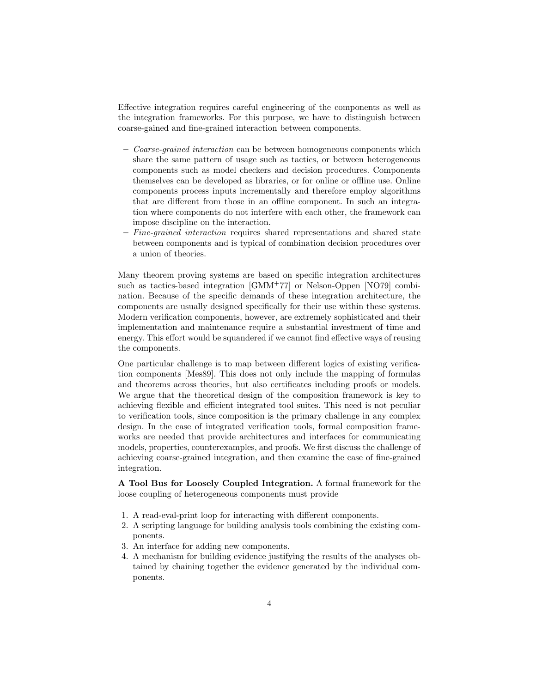Effective integration requires careful engineering of the components as well as the integration frameworks. For this purpose, we have to distinguish between coarse-gained and fine-grained interaction between components.

- Coarse-grained interaction can be between homogeneous components which share the same pattern of usage such as tactics, or between heterogeneous components such as model checkers and decision procedures. Components themselves can be developed as libraries, or for online or offline use. Online components process inputs incrementally and therefore employ algorithms that are different from those in an offline component. In such an integration where components do not interfere with each other, the framework can impose discipline on the interaction.
- $-$  Fine-grained interaction requires shared representations and shared state between components and is typical of combination decision procedures over a union of theories.

Many theorem proving systems are based on specific integration architectures such as tactics-based integration [GMM<sup>+</sup>77] or Nelson-Oppen [NO79] combination. Because of the specific demands of these integration architecture, the components are usually designed specifically for their use within these systems. Modern verification components, however, are extremely sophisticated and their implementation and maintenance require a substantial investment of time and energy. This effort would be squandered if we cannot find effective ways of reusing the components.

One particular challenge is to map between different logics of existing verification components [Mes89]. This does not only include the mapping of formulas and theorems across theories, but also certificates including proofs or models. We argue that the theoretical design of the composition framework is key to achieving flexible and efficient integrated tool suites. This need is not peculiar to verification tools, since composition is the primary challenge in any complex design. In the case of integrated verification tools, formal composition frameworks are needed that provide architectures and interfaces for communicating models, properties, counterexamples, and proofs. We first discuss the challenge of achieving coarse-grained integration, and then examine the case of fine-grained integration.

A Tool Bus for Loosely Coupled Integration. A formal framework for the loose coupling of heterogeneous components must provide

- 1. A read-eval-print loop for interacting with different components.
- 2. A scripting language for building analysis tools combining the existing components.
- 3. An interface for adding new components.
- 4. A mechanism for building evidence justifying the results of the analyses obtained by chaining together the evidence generated by the individual components.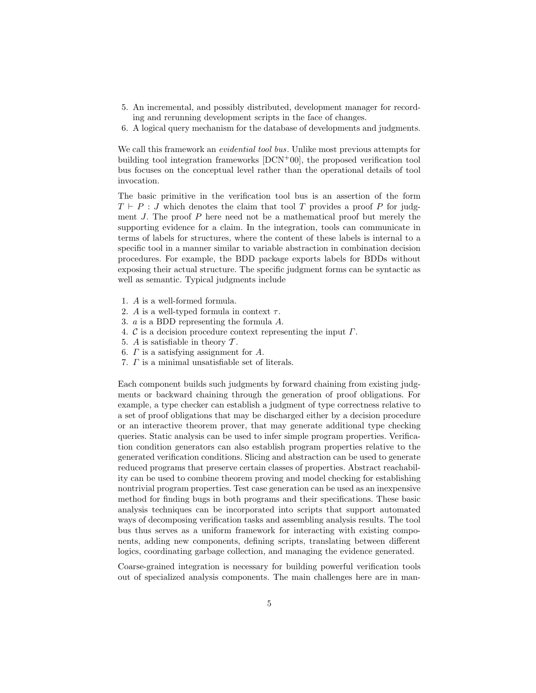- 5. An incremental, and possibly distributed, development manager for recording and rerunning development scripts in the face of changes.
- 6. A logical query mechanism for the database of developments and judgments.

We call this framework an evidential tool bus. Unlike most previous attempts for building tool integration frameworks [DCN<sup>+</sup>00], the proposed verification tool bus focuses on the conceptual level rather than the operational details of tool invocation.

The basic primitive in the verification tool bus is an assertion of the form  $T \vdash P : J$  which denotes the claim that tool T provides a proof P for judgment  $J$ . The proof  $P$  here need not be a mathematical proof but merely the supporting evidence for a claim. In the integration, tools can communicate in terms of labels for structures, where the content of these labels is internal to a specific tool in a manner similar to variable abstraction in combination decision procedures. For example, the BDD package exports labels for BDDs without exposing their actual structure. The specific judgment forms can be syntactic as well as semantic. Typical judgments include

- 1. A is a well-formed formula.
- 2. A is a well-typed formula in context  $\tau$ .
- 3. a is a BDD representing the formula A.
- 4. C is a decision procedure context representing the input  $\Gamma$ .
- 5. A is satisfiable in theory  $\mathcal T$ .
- 6.  $\Gamma$  is a satisfying assignment for  $A$ .
- 7. Γ is a minimal unsatisfiable set of literals.

Each component builds such judgments by forward chaining from existing judgments or backward chaining through the generation of proof obligations. For example, a type checker can establish a judgment of type correctness relative to a set of proof obligations that may be discharged either by a decision procedure or an interactive theorem prover, that may generate additional type checking queries. Static analysis can be used to infer simple program properties. Verification condition generators can also establish program properties relative to the generated verification conditions. Slicing and abstraction can be used to generate reduced programs that preserve certain classes of properties. Abstract reachability can be used to combine theorem proving and model checking for establishing nontrivial program properties. Test case generation can be used as an inexpensive method for finding bugs in both programs and their specifications. These basic analysis techniques can be incorporated into scripts that support automated ways of decomposing verification tasks and assembling analysis results. The tool bus thus serves as a uniform framework for interacting with existing components, adding new components, defining scripts, translating between different logics, coordinating garbage collection, and managing the evidence generated.

Coarse-grained integration is necessary for building powerful verification tools out of specialized analysis components. The main challenges here are in man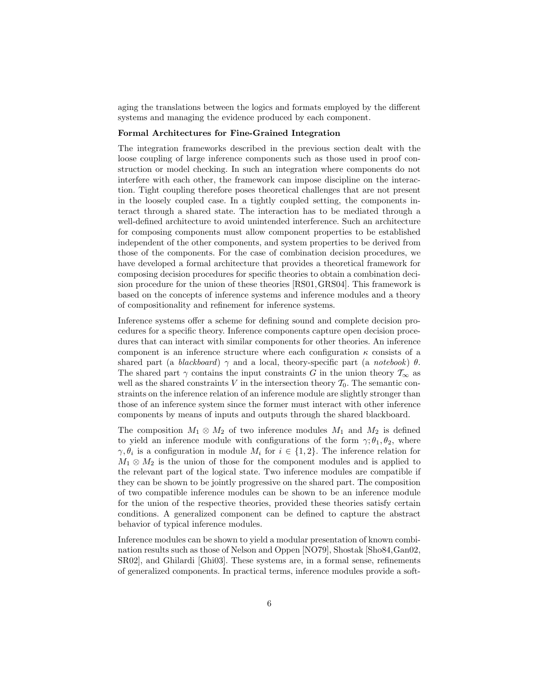aging the translations between the logics and formats employed by the different systems and managing the evidence produced by each component.

#### Formal Architectures for Fine-Grained Integration

The integration frameworks described in the previous section dealt with the loose coupling of large inference components such as those used in proof construction or model checking. In such an integration where components do not interfere with each other, the framework can impose discipline on the interaction. Tight coupling therefore poses theoretical challenges that are not present in the loosely coupled case. In a tightly coupled setting, the components interact through a shared state. The interaction has to be mediated through a well-defined architecture to avoid unintended interference. Such an architecture for composing components must allow component properties to be established independent of the other components, and system properties to be derived from those of the components. For the case of combination decision procedures, we have developed a formal architecture that provides a theoretical framework for composing decision procedures for specific theories to obtain a combination decision procedure for the union of these theories [RS01,GRS04]. This framework is based on the concepts of inference systems and inference modules and a theory of compositionality and refinement for inference systems.

Inference systems offer a scheme for defining sound and complete decision procedures for a specific theory. Inference components capture open decision procedures that can interact with similar components for other theories. An inference component is an inference structure where each configuration  $\kappa$  consists of a shared part (a blackboard)  $\gamma$  and a local, theory-specific part (a notebook)  $\theta$ . The shared part  $\gamma$  contains the input constraints G in the union theory  $\mathcal{T}_{\infty}$  as well as the shared constraints V in the intersection theory  $\mathcal{T}_0$ . The semantic constraints on the inference relation of an inference module are slightly stronger than those of an inference system since the former must interact with other inference components by means of inputs and outputs through the shared blackboard.

The composition  $M_1 \otimes M_2$  of two inference modules  $M_1$  and  $M_2$  is defined to yield an inference module with configurations of the form  $\gamma$ ;  $\theta_1$ ,  $\theta_2$ , where  $\gamma, \theta_i$  is a configuration in module  $M_i$  for  $i \in \{1,2\}$ . The inference relation for  $M_1 \otimes M_2$  is the union of those for the component modules and is applied to the relevant part of the logical state. Two inference modules are compatible if they can be shown to be jointly progressive on the shared part. The composition of two compatible inference modules can be shown to be an inference module for the union of the respective theories, provided these theories satisfy certain conditions. A generalized component can be defined to capture the abstract behavior of typical inference modules.

Inference modules can be shown to yield a modular presentation of known combination results such as those of Nelson and Oppen [NO79], Shostak [Sho84,Gan02, SR02], and Ghilardi [Ghi03]. These systems are, in a formal sense, refinements of generalized components. In practical terms, inference modules provide a soft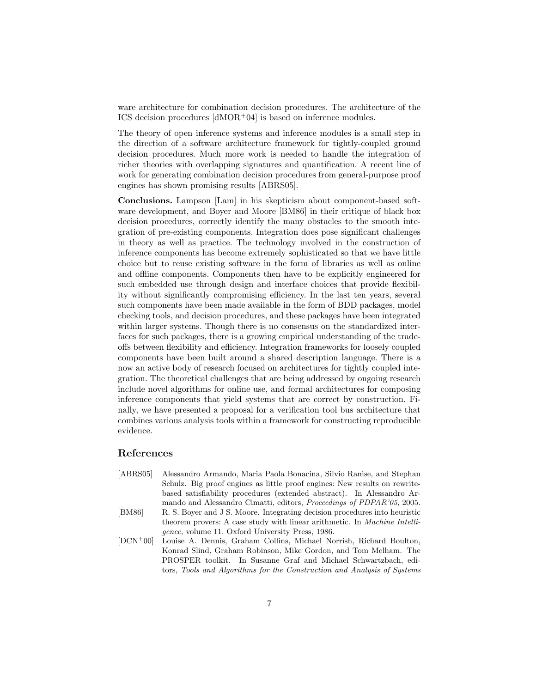ware architecture for combination decision procedures. The architecture of the ICS decision procedures  $\text{dMOR}$ +04 is based on inference modules.

The theory of open inference systems and inference modules is a small step in the direction of a software architecture framework for tightly-coupled ground decision procedures. Much more work is needed to handle the integration of richer theories with overlapping signatures and quantification. A recent line of work for generating combination decision procedures from general-purpose proof engines has shown promising results [ABRS05].

Conclusions. Lampson [Lam] in his skepticism about component-based software development, and Boyer and Moore [BM86] in their critique of black box decision procedures, correctly identify the many obstacles to the smooth integration of pre-existing components. Integration does pose significant challenges in theory as well as practice. The technology involved in the construction of inference components has become extremely sophisticated so that we have little choice but to reuse existing software in the form of libraries as well as online and offline components. Components then have to be explicitly engineered for such embedded use through design and interface choices that provide flexibility without significantly compromising efficiency. In the last ten years, several such components have been made available in the form of BDD packages, model checking tools, and decision procedures, and these packages have been integrated within larger systems. Though there is no consensus on the standardized interfaces for such packages, there is a growing empirical understanding of the tradeoffs between flexibility and efficiency. Integration frameworks for loosely coupled components have been built around a shared description language. There is a now an active body of research focused on architectures for tightly coupled integration. The theoretical challenges that are being addressed by ongoing research include novel algorithms for online use, and formal architectures for composing inference components that yield systems that are correct by construction. Finally, we have presented a proposal for a verification tool bus architecture that combines various analysis tools within a framework for constructing reproducible evidence.

## References

- [ABRS05] Alessandro Armando, Maria Paola Bonacina, Silvio Ranise, and Stephan Schulz. Big proof engines as little proof engines: New results on rewritebased satisfiability procedures (extended abstract). In Alessandro Armando and Alessandro Cimatti, editors, Proceedings of PDPAR'05, 2005. [BM86] R. S. Boyer and J S. Moore. Integrating decision procedures into heuristic
- theorem provers: A case study with linear arithmetic. In Machine Intelligence, volume 11. Oxford University Press, 1986.
- [DCN<sup>+</sup>00] Louise A. Dennis, Graham Collins, Michael Norrish, Richard Boulton, Konrad Slind, Graham Robinson, Mike Gordon, and Tom Melham. The PROSPER toolkit. In Susanne Graf and Michael Schwartzbach, editors, Tools and Algorithms for the Construction and Analysis of Systems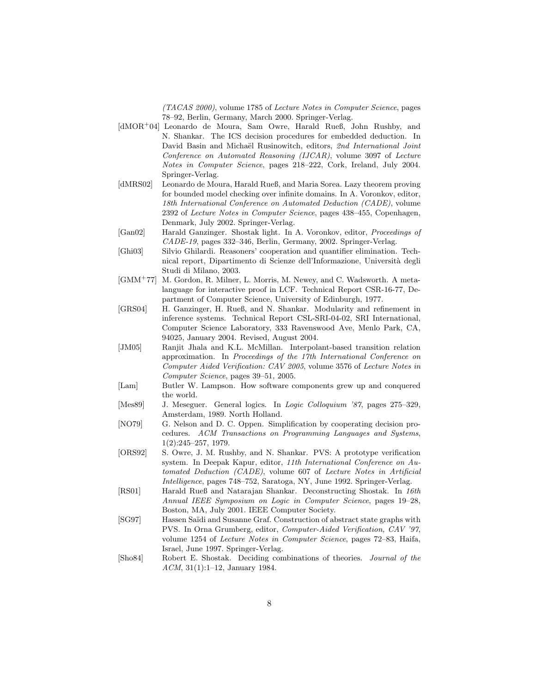(TACAS 2000), volume 1785 of Lecture Notes in Computer Science, pages 78–92, Berlin, Germany, March 2000. Springer-Verlag.

- [dMOR<sup>+</sup>04] Leonardo de Moura, Sam Owre, Harald Rueß, John Rushby, and N. Shankar. The ICS decision procedures for embedded deduction. In David Basin and Michaël Rusinowitch, editors, 2nd International Joint Conference on Automated Reasoning (IJCAR), volume 3097 of Lecture Notes in Computer Science, pages 218–222, Cork, Ireland, July 2004. Springer-Verlag.
- [dMRS02] Leonardo de Moura, Harald Rueß, and Maria Sorea. Lazy theorem proving for bounded model checking over infinite domains. In A. Voronkov, editor, 18th International Conference on Automated Deduction (CADE), volume 2392 of Lecture Notes in Computer Science, pages 438–455, Copenhagen, Denmark, July 2002. Springer-Verlag.
- [Gan02] Harald Ganzinger. Shostak light. In A. Voronkov, editor, Proceedings of CADE-19, pages 332–346, Berlin, Germany, 2002. Springer-Verlag.
- [Ghi03] Silvio Ghilardi. Reasoners' cooperation and quantifier elimination. Technical report, Dipartimento di Scienze dell'Informazione, Università degli Studi di Milano, 2003.
- [GMM<sup>+</sup>77] M. Gordon, R. Milner, L. Morris, M. Newey, and C. Wadsworth. A metalanguage for interactive proof in LCF. Technical Report CSR-16-77, Department of Computer Science, University of Edinburgh, 1977.
- [GRS04] H. Ganzinger, H. Rueß, and N. Shankar. Modularity and refinement in inference systems. Technical Report CSL-SRI-04-02, SRI International, Computer Science Laboratory, 333 Ravenswood Ave, Menlo Park, CA, 94025, January 2004. Revised, August 2004.
- [JM05] Ranjit Jhala and K.L. McMillan. Interpolant-based transition relation approximation. In Proceedings of the 17th International Conference on Computer Aided Verification: CAV 2005, volume 3576 of Lecture Notes in Computer Science, pages 39–51, 2005.
- [Lam] Butler W. Lampson. How software components grew up and conquered the world.
- [Mes89] J. Meseguer. General logics. In Logic Colloquium '87, pages 275–329, Amsterdam, 1989. North Holland.
- [NO79] G. Nelson and D. C. Oppen. Simplification by cooperating decision procedures. ACM Transactions on Programming Languages and Systems, 1(2):245–257, 1979.
- [ORS92] S. Owre, J. M. Rushby, and N. Shankar. PVS: A prototype verification system. In Deepak Kapur, editor, 11th International Conference on Automated Deduction (CADE), volume 607 of Lecture Notes in Artificial Intelligence, pages 748–752, Saratoga, NY, June 1992. Springer-Verlag.
- [RS01] Harald Rueß and Natarajan Shankar. Deconstructing Shostak. In 16th Annual IEEE Symposium on Logic in Computer Science, pages 19–28, Boston, MA, July 2001. IEEE Computer Society.
- [SG97] Hassen Saïdi and Susanne Graf. Construction of abstract state graphs with PVS. In Orna Grumberg, editor, Computer-Aided Verification, CAV '97, volume 1254 of Lecture Notes in Computer Science, pages 72–83, Haifa, Israel, June 1997. Springer-Verlag.
- [Sho84] Robert E. Shostak. Deciding combinations of theories. Journal of the ACM, 31(1):1–12, January 1984.